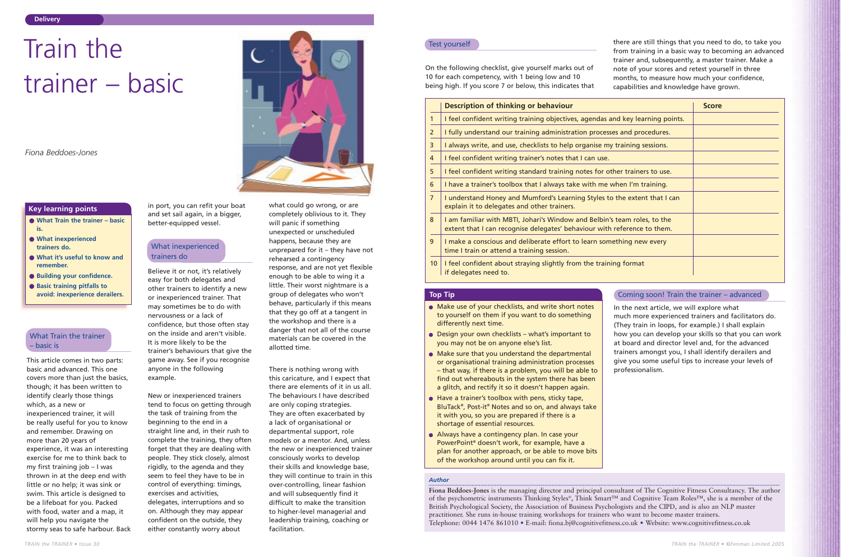This article comes in two parts: basic and advanced. This one covers more than just the basics, though; it has been written to identify clearly those things which, as a new or inexperienced trainer, it will be really useful for you to know and remember. Drawing on more than 20 years of experience, it was an interesting exercise for me to think back to my first training job – I was thrown in at the deep end with little or no help; it was sink or swim. This article is designed to be a lifeboat for you. Packed with food, water and a map, it will help you navigate the stormy seas to safe harbour. Back in port, you can refit your boat and set sail again, in a bigger, better-equipped vessel.

Believe it or not, it's relatively easy for both delegates and other trainers to identify a new or inexperienced trainer. That may sometimes be to do with nervousness or a lack of confidence, but those often stay on the inside and aren't visible. It is more likely to be the trainer's behaviours that give the game away. See if you recognise anyone in the following example.

New or inexperienced trainers tend to focus on getting through the task of training from the beginning to the end in a straight line and, in their rush to complete the training, they often forget that they are dealing with people. They stick closely, almost rigidly, to the agenda and they seem to feel they have to be in control of everything: timings, exercises and activities, delegates, interruptions and so on. Although they may appear

confident on the outside, they either constantly worry about

what could go wrong, or are completely oblivious to it. They will panic if something unexpected or unscheduled happens, because they are unprepared for it – they have not rehearsed a contingency response, and are not yet flexible enough to be able to wing it a little. Their worst nightmare is a group of delegates who won't behave, particularly if this means that they go off at a tangent in the workshop and there is a danger that not all of the course materials can be covered in the allotted time.

There is nothing wrong with this caricature, and I expect that there are elements of it in us all. The behaviours I have described are only coping strategies. They are often exacerbated by a lack of organisational or departmental support, role models or a mentor. And, unless the new or inexperienced trainer consciously works to develop their skills and knowledge base, they will continue to train in this over-controlling, linear fashion and will subsequently find it difficult to make the transition to higher-level managerial and leadership training, coaching or facilitation.

## *Author*

**Fiona Beddoes-Jones** is the managing director and principal consultant of The Cognitive Fitness Consultancy. The author of the psychometric instruments Thinking Styles®, Think Smart™ and Cognitive Team Roles™, she is a member of the British Psychological Society, the Association of Business Psychologists and the CIPD, and is also an NLP master practitioner. She runs in-house training workshops for trainers who want to become master trainers. Telephone: 0044 1476 861010 • E-mail: fiona.bj@cognitivefitness.co.uk • Website: www.cognitivefitness.co.uk

## **Top Tip Tip** Coming soon! Train the trainer – advanced

- Make use of your checklists, and write short notes to yourself on them if you want to do something differently next time.
- Design your own checklists what's important to you may not be on anyone else's list.
- Make sure that you understand the departmental or organisational training administration processes – that way, if there is a problem, you will be able to find out whereabouts in the system there has been a glitch, and rectify it so it doesn't happen again.
- Have a trainer's toolbox with pens, sticky tape, BluTack®, Post-it® Notes and so on, and always take it with you, so you are prepared if there is a shortage of essential resources.
- Always have a contingency plan. In case your PowerPoint® doesn't work, for example, have a plan for another approach, or be able to move bits of the workshop around until you can fix it.

# Train the trainer – basic

*Fiona Beddoes-Jones* 

- **What Train the trainer basic is.**
- **What inexperienced trainers do.**
- **What it's useful to know and remember.**
- **Building your confidence.**
- **Basic training pitfalls to avoid: inexperience derailers.**

## **Key learning points**

## What Train the trainer – basic is

## What inexperienced trainers do

On the following checklist, give yourself marks out of 10 for each competency, with 1 being low and 10 being high. If you score 7 or below, this indicates that

there are still things that you need to do, to take you from training in a basic way to becoming an advanced trainer and, subsequently, a master trainer. Make a note of your scores and retest yourself in three months, to measure how much your confidence, capabilities and knowledge have grown.

## Test yourself

|                | Description of thinking or behaviour                                                                                                                 | <b>Score</b> |
|----------------|------------------------------------------------------------------------------------------------------------------------------------------------------|--------------|
| 1              | I feel confident writing training objectives, agendas and key learning points.                                                                       |              |
| $\overline{2}$ | I fully understand our training administration processes and procedures.                                                                             |              |
| 3              | I always write, and use, checklists to help organise my training sessions.                                                                           |              |
| 4              | I feel confident writing trainer's notes that I can use.                                                                                             |              |
| 5              | I feel confident writing standard training notes for other trainers to use.                                                                          |              |
| 6              | I have a trainer's toolbox that I always take with me when I'm training.                                                                             |              |
| $\overline{7}$ | I understand Honey and Mumford's Learning Styles to the extent that I can<br>explain it to delegates and other trainers.                             |              |
| 8              | I am familiar with MBTI, Johari's Window and Belbin's team roles, to the<br>extent that I can recognise delegates' behaviour with reference to them. |              |
| 9              | I make a conscious and deliberate effort to learn something new every<br>time I train or attend a training session.                                  |              |
| 10             | I feel confident about straying slightly from the training format<br>if delegates need to.                                                           |              |

In the next article, we will explore what much more experienced trainers and facilitators do. (They train in loops, for example.) I shall explain how you can develop your skills so that you can work at board and director level and, for the advanced trainers amongst you, I shall identify derailers and give you some useful tips to increase your levels of professionalism.